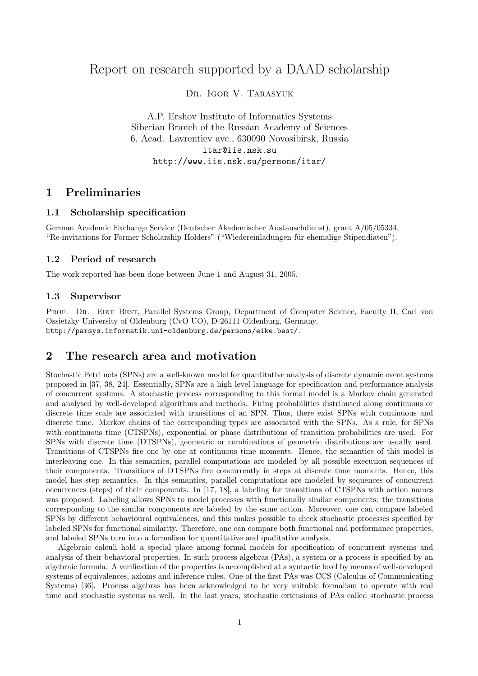# Report on research supported by a DAAD scholarship

Dr. Igor V. Tarasyuk

A.P. Ershov Institute of Informatics Systems Siberian Branch of the Russian Academy of Sciences 6, Acad. Lavrentiev ave., 630090 Novosibirsk, Russia itar@iis.nsk.su http://www.iis.nsk.su/persons/itar/

## 1 Preliminaries

### 1.1 Scholarship specification

German Academic Exchange Service (Deutscher Akademischer Austauschdienst), grant A/05/05334, "Re-invitations for Former Scholarship Holders" ("Wiedereinladungen für ehemalige Stipendiaten").

### 1.2 Period of research

The work reported has been done between June 1 and August 31, 2005.

### 1.3 Supervisor

PROF. DR. EIKE BEST, Parallel Systems Group, Department of Computer Science, Faculty II, Carl von Ossietzky University of Oldenburg (CvO UO), D-26111 Oldenburg, Germany, http://parsys.informatik.uni-oldenburg.de/persons/eike.best/.

## 2 The research area and motivation

Stochastic Petri nets (SPNs) are a well-known model for quantitative analysis of discrete dynamic event systems proposed in [37, 38, 24]. Essentially, SPNs are a high level language for specification and performance analysis of concurrent systems. A stochastic process corresponding to this formal model is a Markov chain generated and analysed by well-developed algorithms and methods. Firing probabilities distributed along continuous or discrete time scale are associated with transitions of an SPN. Thus, there exist SPNs with continuous and discrete time. Markov chains of the corresponding types are associated with the SPNs. As a rule, for SPNs with continuous time (CTSPNs), exponential or phase distributions of transition probabilities are used. For SPNs with discrete time (DTSPNs), geometric or combinations of geometric distributions are usually used. Transitions of CTSPNs fire one by one at continuous time moments. Hence, the semantics of this model is interleaving one. In this semantics, parallel computations are modeled by all possible execution sequences of their components. Transitions of DTSPNs fire concurrently in steps at discrete time moments. Hence, this model has step semantics. In this semantics, parallel computations are modeled by sequences of concurrent occurrences (steps) of their components. In [17, 18], a labeling for transitions of CTSPNs with action names was proposed. Labeling allows SPNs to model processes with functionally similar components: the transitions corresponding to the similar components are labeled by the same action. Moreover, one can compare labeled SPNs by different behavioural equivalences, and this makes possible to check stochastic processes specified by labeled SPNs for functional similarity. Therefore, one can compare both functional and performance properties, and labeled SPNs turn into a formalism for quantitative and qualitative analysis.

Algebraic calculi hold a special place among formal models for specification of concurrent systems and analysis of their behavioral properties. In such process algebras (PAs), a system or a process is specified by an algebraic formula. A verification of the properties is accomplished at a syntactic level by means of well-developed systems of equivalences, axioms and inference rules. One of the first PAs was CCS (Calculus of Communicating Systems) [36]. Process algebras has been acknowledged to be very suitable formalism to operate with real time and stochastic systems as well. In the last years, stochastic extensions of PAs called stochastic process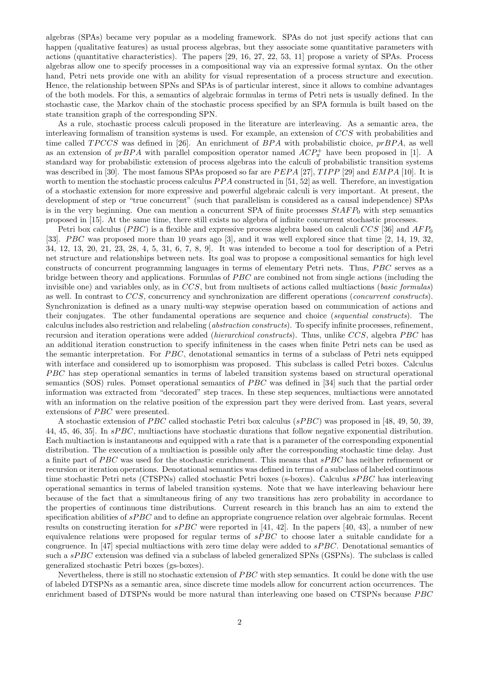algebras (SPAs) became very popular as a modeling framework. SPAs do not just specify actions that can happen (qualitative features) as usual process algebras, but they associate some quantitative parameters with actions (quantitative characteristics). The papers [29, 16, 27, 22, 53, 11] propose a variety of SPAs. Process algebras allow one to specify processes in a compositional way via an expressive formal syntax. On the other hand, Petri nets provide one with an ability for visual representation of a process structure and execution. Hence, the relationship between SPNs and SPAs is of particular interest, since it allows to combine advantages of the both models. For this, a semantics of algebraic formulas in terms of Petri nets is usually defined. In the stochastic case, the Markov chain of the stochastic process specified by an SPA formula is built based on the state transition graph of the corresponding SPN.

As a rule, stochastic process calculi proposed in the literature are interleaving. As a semantic area, the interleaving formalism of transition systems is used. For example, an extension of CCS with probabilities and time called  $TPCCS$  was defined in [26]. An enrichment of  $BPA$  with probabilistic choice,  $prBPA$ , as well as an extension of  $prBPA$  with parallel composition operator named  $ACP_{\pi}^+$  have been proposed in [1]. A standard way for probabilistic extension of process algebras into the calculi of probabilistic transition systems was described in [30]. The most famous SPAs proposed so far are  $PEPA$  [27],  $TIPP$  [29] and  $EMPA$  [10]. It is worth to mention the stochastic process calculus  $PPA$  constructed in [51, 52] as well. Therefore, an investigation of a stochastic extension for more expressive and powerful algebraic calculi is very important. At present, the development of step or "true concurrent" (such that parallelism is considered as a causal independence) SPAs is in the very beginning. One can mention a concurrent SPA of finite processes  $StAFP_0$  with step semantics proposed in [15]. At the same time, there still exists no algebra of infinite concurrent stochastic processes.

Petri box calculus (PBC) is a flexible and expressive process algebra based on calculi CCS [36] and  $AFP_0$ [33]. *PBC* was proposed more than 10 years ago [3], and it was well explored since that time [2, 14, 19, 32, 34, 12, 13, 20, 21, 23, 28, 4, 5, 31, 6, 7, 8, 9]. It was intended to become a tool for description of a Petri net structure and relationships between nets. Its goal was to propose a compositional semantics for high level constructs of concurrent programming languages in terms of elementary Petri nets. Thus, PBC serves as a bridge between theory and applications. Formulas of  $PBC$  are combined not from single actions (including the invisible one) and variables only, as in  $CCS$ , but from multisets of actions called multiactions (*basic formulas*) as well. In contrast to CCS, concurrency and synchronization are different operations (concurrent constructs). Synchronization is defined as a unary multi-way stepwise operation based on communication of actions and their conjugates. The other fundamental operations are sequence and choice (sequential constructs). The calculus includes also restriction and relabeling (abstraction constructs). To specify infinite processes, refinement, recursion and iteration operations were added *(hierarchical constructs)*. Thus, unlike CCS, algebra PBC has an additional iteration construction to specify infiniteness in the cases when finite Petri nets can be used as the semantic interpretation. For  $PBC$ , denotational semantics in terms of a subclass of Petri nets equipped with interface and considered up to isomorphism was proposed. This subclass is called Petri boxes. Calculus PBC has step operational semantics in terms of labeled transition systems based on structural operational semantics (SOS) rules. Pomset operational semantics of PBC was defined in [34] such that the partial order information was extracted from "decorated" step traces. In these step sequences, multiactions were annotated with an information on the relative position of the expression part they were derived from. Last years, several extensions of  $PBC$  were presented.

A stochastic extension of *PBC* called stochastic Petri box calculus ( $sPBC$ ) was proposed in [48, 49, 50, 39, 44, 45, 46, 35. In  $sPBC$ , multiactions have stochastic durations that follow negative exponential distribution. Each multiaction is instantaneous and equipped with a rate that is a parameter of the corresponding exponential distribution. The execution of a multiaction is possible only after the corresponding stochastic time delay. Just a finite part of  $PBC$  was used for the stochastic enrichment. This means that  $sPBC$  has neither refinement or recursion or iteration operations. Denotational semantics was defined in terms of a subclass of labeled continuous time stochastic Petri nets (CTSPNs) called stochastic Petri boxes (s-boxes). Calculus sPBC has interleaving operational semantics in terms of labeled transition systems. Note that we have interleaving behaviour here because of the fact that a simultaneous firing of any two transitions has zero probability in accordance to the properties of continuous time distributions. Current research in this branch has an aim to extend the specification abilities of  $sPBC$  and to define an appropriate congruence relation over algebraic formulas. Recent results on constructing iteration for  $sPBC$  were reported in [41, 42]. In the papers [40, 43], a number of new equivalence relations were proposed for regular terms of  $sPBC$  to choose later a suitable candidate for a congruence. In [47] special multiactions with zero time delay were added to  $sPBC$ . Denotational semantics of such a sPBC extension was defined via a subclass of labeled generalized SPNs (GSPNs). The subclass is called generalized stochastic Petri boxes (gs-boxes).

Nevertheless, there is still no stochastic extension of PBC with step semantics. It could be done with the use of labeled DTSPNs as a semantic area, since discrete time models allow for concurrent action occurrences. The enrichment based of DTSPNs would be more natural than interleaving one based on CTSPNs because  $PBC$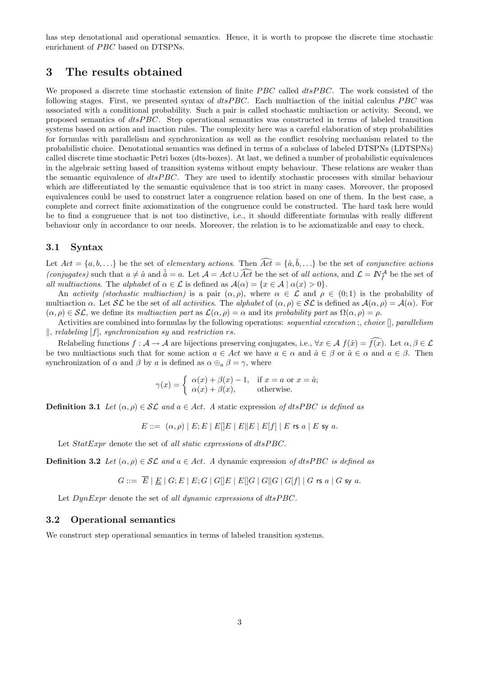has step denotational and operational semantics. Hence, it is worth to propose the discrete time stochastic enrichment of PBC based on DTSPNs.

## 3 The results obtained

We proposed a discrete time stochastic extension of finite  $PBC$  called  $dtsPBC$ . The work consisted of the following stages. First, we presented syntax of  $dtsPBC$ . Each multiaction of the initial calculus  $PBC$  was associated with a conditional probability. Such a pair is called stochastic multiaction or activity. Second, we proposed semantics of  $dtsPBC$ . Step operational semantics was constructed in terms of labeled transition systems based on action and inaction rules. The complexity here was a careful elaboration of step probabilities for formulas with parallelism and synchronization as well as the conflict resolving mechanism related to the probabilistic choice. Denotational semantics was defined in terms of a subclass of labeled DTSPNs (LDTSPNs) called discrete time stochastic Petri boxes (dts-boxes). At last, we defined a number of probabilistic equivalences in the algebraic setting based of transition systems without empty behaviour. These relations are weaker than the semantic equivalence of  $dtsPBC$ . They are used to identify stochastic processes with similar behaviour which are differentiated by the semantic equivalence that is too strict in many cases. Moreover, the proposed equivalences could be used to construct later a congruence relation based on one of them. In the best case, a complete and correct finite axiomatization of the congruence could be constructed. The hard task here would be to find a congruence that is not too distinctive, i.e., it should differentiate formulas with really different behaviour only in accordance to our needs. Moreover, the relation is to be axiomatizable and easy to check.

### 3.1 Syntax

Let  $Act = \{a, b, ...\}$  be the set of *elementary actions*. Then  $\widehat{Act} = \{\hat{a}, \hat{b}, ...\}$  be the set of *conjunctive actions* (conjugates) such that  $a \neq \hat{a}$  and  $\hat{a} = a$ . Let  $\mathcal{A} = Act \cup \widehat{Act}$  be the set of all actions, and  $\mathcal{L} = \mathbb{N}_{f}^{\mathcal{A}}$  be the set of all multiactions. The alphabet of  $\alpha \in \mathcal{L}$  is defined as  $\mathcal{A}(\alpha) = \{x \in \mathcal{A} \mid \alpha(x) > 0\}.$ 

An activity (stochastic multiaction) is a pair  $(\alpha, \rho)$ , where  $\alpha \in \mathcal{L}$  and  $\rho \in (0, 1)$  is the probability of multiaction  $\alpha$ . Let  $\mathcal{SL}$  be the set of all activities. The alphabet of  $(\alpha, \rho) \in \mathcal{SL}$  is defined as  $\mathcal{A}(\alpha, \rho) = \mathcal{A}(\alpha)$ . For  $(\alpha, \rho) \in \mathcal{SL}$ , we define its multiaction part as  $\mathcal{L}(\alpha, \rho) = \alpha$  and its probability part as  $\Omega(\alpha, \rho) = \rho$ .

Activities are combined into formulas by the following operations: sequential execution; choice  $[]$ , parallelism  $\parallel$ , relabeling [f], synchronization sy and restriction rs.

Relabeling functions  $f : \mathcal{A} \to \mathcal{A}$  are bijections preserving conjugates, i.e.,  $\forall x \in \mathcal{A}$   $f(\hat{x}) = f(x)$ . Let  $\alpha, \beta \in \mathcal{L}$ be two multiactions such that for some action  $a \in Act$  we have  $a \in \alpha$  and  $\hat{a} \in \beta$  or  $\hat{a} \in \alpha$  and  $a \in \beta$ . Then synchronization of  $\alpha$  and  $\beta$  by a is defined as  $\alpha \oplus_{\alpha} \beta = \gamma$ , where

$$
\gamma(x) = \begin{cases} \alpha(x) + \beta(x) - 1, & \text{if } x = a \text{ or } x = \hat{a}; \\ \alpha(x) + \beta(x), & \text{otherwise.} \end{cases}
$$

**Definition 3.1** Let  $(\alpha, \rho) \in \mathcal{SL}$  and  $a \in Act$ . A static expression of dtsPBC is defined as

$$
E ::= (\alpha, \rho) | E; E | E | E | E | E | E | E | f | E \text{ is a } E \text{ s y a}.
$$

Let  $Statexpr$  denote the set of all static expressions of  $dtsPBC$ .

**Definition 3.2** Let  $(\alpha, \rho) \in \mathcal{SL}$  and  $a \in Act$ . A dynamic expression of dtsPBC is defined as

$$
G ::= \overline{E} | \underline{E} | G; E | E; G | G | E | E | G | G | G | G | G | f | G \text{ is a } | G \text{ sy a.}
$$

Let  $DynExpr$  denote the set of all dynamic expressions of  $dtsPBC$ .

#### 3.2 Operational semantics

We construct step operational semantics in terms of labeled transition systems.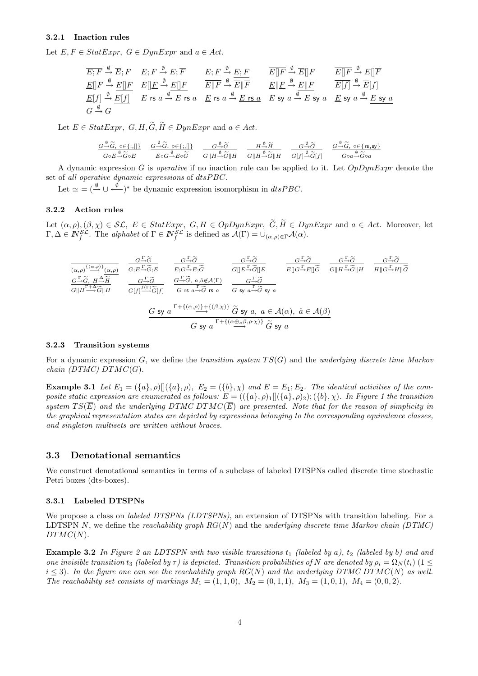#### 3.2.1 Inaction rules

Let  $E, F \in StatExpr$ ,  $G \in DynExpr$  and  $a \in Act$ .

| $\overline{E}; \overline{F} \xrightarrow{\emptyset} \overline{E}; F$ | $\underline{E}; F \xrightarrow{\emptyset} E; \overline{F}$ | $\underline{E}; \underline{F} \xrightarrow{\emptyset} \underline{E}; F$ | $\overline{E}[\overline{F} \xrightarrow{\emptyset} \overline{E}][F]$ | $\overline{E}[\overline{F} \xrightarrow{\emptyset} \overline{E}][F]$ | $\overline{E}[\overline{F} \xrightarrow{\emptyset} \overline{E}][F]$ | $\overline{E}[\overline{F} \xrightarrow{\emptyset} \overline{E}][F]$ | $\overline{E}[\overline{F} \xrightarrow{\emptyset} \overline{E}][F]$ | $\overline{E}[\overline{F} \xrightarrow{\emptyset} \overline{E}][F]$ | $\overline{E}[\overline{F} \xrightarrow{\emptyset} \overline{E}][F]$ | $\overline{E}[\overline{F} \xrightarrow{\emptyset} \overline{E}][F]$ | $\overline{E}[\overline{F} \xrightarrow{\emptyset} \overline{E}][F]$ | $\overline{E}[\overline{F} \xrightarrow{\emptyset} \overline{E}][F]$ | $\overline{E}[\overline{F} \xrightarrow{\emptyset} \overline{E}][F]$ | $\overline{E}[\overline{F} \xrightarrow{\emptyset} \overline{E}][F]$ | $\overline{E}[\overline{F} \xrightarrow{\emptyset} \overline{E}][F]$ | $\overline{E}[\overline{F} \xrightarrow{\emptyset} \overline{E}][F]$ | $\overline{E}[\overline{F} \xrightarrow{\emptyset} \overline{E}][F]$ | $\overline{E}[\overline{F} \xrightarrow{\emptyset} \overline{E}][F]$ | $\overline{E}[\overline{F} \xrightarrow{\emptyset} \overline{E}][F]$ | $\overline{E}[\overline{F} \xrightarrow{\emptyset} \overline{E}][F]$ | $\overline{E}[\overline$ |
|----------------------------------------------------------------------|------------------------------------------------------------|-------------------------------------------------------------------------|----------------------------------------------------------------------|----------------------------------------------------------------------|----------------------------------------------------------------------|----------------------------------------------------------------------|----------------------------------------------------------------------|----------------------------------------------------------------------|----------------------------------------------------------------------|----------------------------------------------------------------------|----------------------------------------------------------------------|----------------------------------------------------------------------|----------------------------------------------------------------------|----------------------------------------------------------------------|----------------------------------------------------------------------|----------------------------------------------------------------------|----------------------------------------------------------------------|----------------------------------------------------------------------|----------------------------------------------------------------------|----------------------------------------------------------------------|--------------------------|
|----------------------------------------------------------------------|------------------------------------------------------------|-------------------------------------------------------------------------|----------------------------------------------------------------------|----------------------------------------------------------------------|----------------------------------------------------------------------|----------------------------------------------------------------------|----------------------------------------------------------------------|----------------------------------------------------------------------|----------------------------------------------------------------------|----------------------------------------------------------------------|----------------------------------------------------------------------|----------------------------------------------------------------------|----------------------------------------------------------------------|----------------------------------------------------------------------|----------------------------------------------------------------------|----------------------------------------------------------------------|----------------------------------------------------------------------|----------------------------------------------------------------------|----------------------------------------------------------------------|----------------------------------------------------------------------|--------------------------|

Let  $E \in Statexpr$ ,  $G, H, \widetilde{G}, \widetilde{H} \in DynExpr$  and  $a \in Act$ .

$$
\frac{G^{\frac{\emptyset}{\longrightarrow}}\widetilde{G},\ \circ\in\{;,\llbracket \}}{G\circ E^{\frac{\emptyset}{\longrightarrow}}\widetilde{G}\circ E}\qquad \frac{G^{\frac{\emptyset}{\longrightarrow}}\widetilde{G},\ \circ\in\{;,\llbracket \}}{E\circ G^{\frac{\emptyset}{\longrightarrow}}E\circ\widetilde{G}}\qquad \frac{G^{\frac{\emptyset}{\longrightarrow}}\widetilde{G}}{G\|H^{\frac{\emptyset}{\longrightarrow}}\widetilde{G}\|H}\qquad \frac{H^{\frac{\emptyset}{\longrightarrow}}\widetilde{H}}{G\|H^{\frac{\emptyset}{\longrightarrow}}\widetilde{G}\|H}\qquad \frac{G^{\frac{\emptyset}{\longrightarrow}}\widetilde{G}}{G[f]^{\frac{\emptyset}{\longrightarrow}}\widetilde{G}[f]} \qquad \frac{G^{\frac{\emptyset}{\longrightarrow}}\widetilde{G},\ \circ\in\{rs,sy\}}{G\circ a^{\frac{\emptyset}{\longrightarrow}}\widetilde{G}\circ a}
$$

A dynamic expression G is *operative* if no inaction rule can be applied to it. Let  $OpDynExpr$  denote the set of all operative dynamic expressions of dtsPBC.

Let  $\simeq$   $=$   $(\stackrel{\emptyset}{\rightarrow}$   $\cup$   $\stackrel{\emptyset}{\leftarrow}$   $)$ <sup>\*</sup> be dynamic expression isomorphism in *dtsPBC*.

#### 3.2.2 Action rules

Let  $(\alpha, \rho),(\beta, \chi) \in \mathcal{SL}, E \in StatExpr, G, H \in OppbyrExpr, \widetilde{G}, \widetilde{H} \in DynExpr$  and  $a \in Act$ . Moreover, let  $\Gamma, \Delta \in \mathbb{N}_{f}^{\mathcal{SL}}$ . The alphabet of  $\Gamma \in \mathbb{N}_{f}^{\mathcal{SL}}$  is defined as  $\mathcal{A}(\Gamma) = \cup_{(\alpha,\rho) \in \Gamma} \mathcal{A}(\alpha)$ .

$$
\frac{G_{\rightarrow}\widetilde{G}}{(\alpha,\rho)^{(\alpha,\rho)}}\frac{G_{\rightarrow}\widetilde{G}}{G;E_{\rightarrow}\widetilde{G};E} \qquad \frac{G_{\rightarrow}\widetilde{G}}{E;G_{\rightarrow}\widetilde{E};\widetilde{G}} \qquad \frac{G_{\rightarrow}\widetilde{G}}{G\|E_{\rightarrow}\widetilde{G}\|E} \qquad \frac{G_{\rightarrow}\widetilde{G}}{E\|G_{\rightarrow}\widetilde{E}\|G} \qquad \frac{G_{\rightarrow}\widetilde{G}}{G\|H_{\rightarrow}\widetilde{G}\|E} \qquad \frac{G_{\rightarrow}\widetilde{G}}{G\|H_{\rightarrow}\widetilde{G}\|H} \qquad \frac{G_{\rightarrow}\widetilde{G}}{H\|G_{\rightarrow}\widetilde{H}\|G}\qquad \frac{G_{\rightarrow}\widetilde{G}}{H\|G_{\rightarrow}\widetilde{H}\|G}\qquad \frac{G_{\rightarrow}\widetilde{G}}{H\|G_{\rightarrow}\widetilde{H}\|G}
$$
\n
$$
\frac{G_{\rightarrow}\widetilde{G}}{G\|H_{\rightarrow}\widetilde{G}\|H} \qquad \frac{G_{\rightarrow}\widetilde{G}}{G\|f\|^{f(\Gamma)}\widetilde{G}[f]} \qquad \frac{G_{\rightarrow}\widetilde{G}}{G \text{ is a }\widetilde{G} \text{ is a}} \qquad \frac{G_{\rightarrow}\widetilde{G}}{G \text{ is a }\widetilde{G} \text{ is a}} \qquad \frac{G_{\rightarrow}\widetilde{G}}{G \text{ is a }\widetilde{G} \text{ is a}} \qquad \frac{G_{\rightarrow}\widetilde{G}}{G \text{ is a }\widetilde{G} \text{ is a }\widetilde{G}} \qquad \frac{G_{\rightarrow}\widetilde{G}}{G \text{ is a }\widetilde{G} \text{ is a }\widetilde{G}} \qquad \frac{G_{\rightarrow}\widetilde{G}}{G \text{ is a }\widetilde{G} \text{ is a }\widetilde{G}} \qquad \frac{G_{\rightarrow}\widetilde{G}}{G \text{ is a }\widetilde{G} \text{ is a }\widetilde{G}} \qquad \frac{G_{\rightarrow}\widetilde{G}}{G \text{ is a }\widetilde{G} \text{ is a }\widetilde{G}} \qquad \frac{G_{\rightarrow}\widetilde{G}}{G
$$

#### 3.2.3 Transition systems

For a dynamic expression  $G$ , we define the transition system  $TS(G)$  and the underlying discrete time Markov  $chain(DTMC)DTMC(G).$ 

**Example 3.1** Let  $E_1 = (\{a\}, \rho) \mid (\{a\}, \rho), E_2 = (\{b\}, \chi)$  and  $E = E_1; E_2$ . The identical activities of the composite static expression are enumerated as follows:  $E = (({a}, \rho)_1 | (({a}, \rho)_2); ({b}, \chi)$ . In Figure 1 the transition system  $TS(\overline{E})$  and the underlying DTMC DTMC( $\overline{E}$ ) are presented. Note that for the reason of simplicity in the graphical representation states are depicted by expressions belonging to the corresponding equivalence classes, and singleton multisets are written without braces.

### 3.3 Denotational semantics

We construct denotational semantics in terms of a subclass of labeled DTSPNs called discrete time stochastic Petri boxes (dts-boxes).

#### 3.3.1 Labeled DTSPNs

We propose a class on *labeled DTSPNs (LDTSPNs)*, an extension of DTSPNs with transition labeling. For a LDTSPN N, we define the reachability graph  $RG(N)$  and the underlying discrete time Markov chain (DTMC)  $DTMC(N).$ 

**Example 3.2** In Figure 2 an LDTSPN with two visible transitions  $t_1$  (labeled by a),  $t_2$  (labeled by b) and and one invisible transition t<sub>3</sub> (labeled by  $\tau$ ) is depicted. Transition probabilities of N are denoted by  $\rho_i = \Omega_N(t_i)$  (1  $\leq$  $i \leq 3$ ). In the figure one can see the reachability graph RG(N) and the underlying DTMC DTMC(N) as well. The reachability set consists of markings  $M_1 = (1, 1, 0), M_2 = (0, 1, 1), M_3 = (1, 0, 1), M_4 = (0, 0, 2)$ .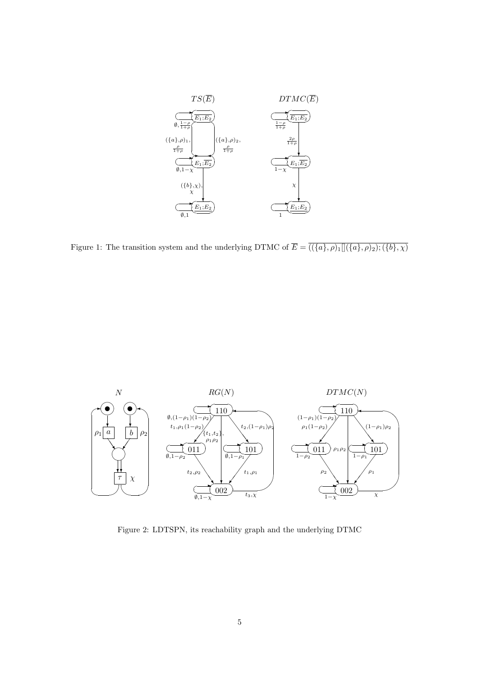

Figure 1: The transition system and the underlying DTMC of  $\overline{E} = \overline{((\{a\}, \rho)_1][(\{a\}, \rho)_2); (\{b\}, \chi)}$ 



Figure 2: LDTSPN, its reachability graph and the underlying DTMC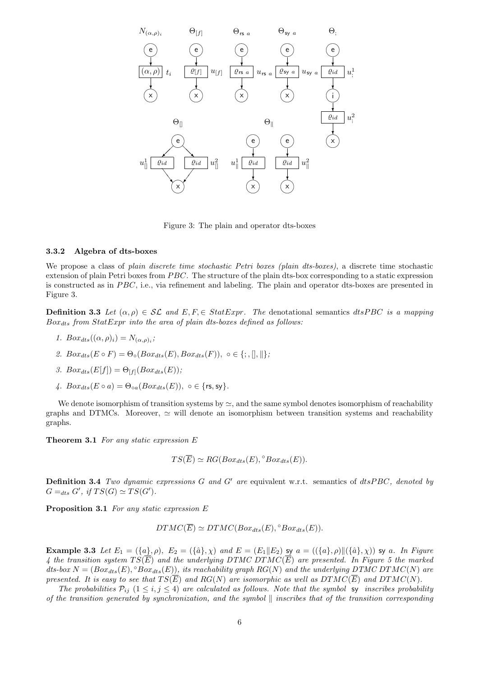

Figure 3: The plain and operator dts-boxes

#### 3.3.2 Algebra of dts-boxes

We propose a class of plain discrete time stochastic Petri boxes (plain dts-boxes), a discrete time stochastic extension of plain Petri boxes from  $PBC$ . The structure of the plain dts-box corresponding to a static expression is constructed as in PBC, i.e., via refinement and labeling. The plain and operator dts-boxes are presented in Figure 3.

**Definition 3.3** Let  $(\alpha, \rho) \in \mathcal{SL}$  and  $E, F \in StatExpr$ . The denotational semantics dtsPBC is a mapping  $Box_{\,ds}$  from  $StatExpr$  into the area of plain dts-boxes defined as follows:

- 1.  $Box_{dts}((\alpha, \rho)_i) = N_{(\alpha, \rho)_i};$
- 2.  $Box_{dts}(E \circ F) = \Theta_{\circ}(Box_{dts}(E),Box_{dts}(F)), \circ \in \{; , \|, \| \};$

3. 
$$
Box_{dts}(E[f]) = \Theta_{[f]}(Box_{dts}(E));
$$

4.  $Box_{d,e}(E \circ a) = \Theta_{\circ a}(Box_{d,e}(E))$ ,  $\circ \in \{rs, sv\}.$ 

We denote isomorphism of transition systems by  $\simeq$ , and the same symbol denotes isomorphism of reachability graphs and DTMCs. Moreover,  $\simeq$  will denote an isomorphism between transition systems and reachability graphs.

Theorem 3.1 For any static expression E

$$
TS(\overline{E}) \simeq RG(Box_{dts}(E), \degree Box_{dts}(E)).
$$

**Definition 3.4** Two dynamic expressions G and G' are equivalent w.r.t. semantics of  $dtsPBC$ , denoted by  $G =_{dts} G'$ , if  $TS(G) \simeq TS(G')$ .

Proposition 3.1 For any static expression E

$$
DTMC(\overline{E}) \simeq DTMC(Box_{dts}(E), \degree Box_{dts}(E)).
$$

Example 3.3 Let  $E_1 = (\{a\}, \rho), E_2 = (\{\hat{a}\}, \chi)$  and  $E = (E_1||E_2)$  sy  $a = ((\{a\}, \rho)||(\{\hat{a}\}, \chi))$  sy a. In Figure 4 the transition system  $TS(\overline{E})$  and the underlying DTMC DTMC( $\overline{E}$ ) are presented. In Figure 5 the marked dts-box  $N = (Box_{dts}(E), \degree Box_{dts}(E))$ , its reachability graph  $RG(N)$  and the underlying DTMC DTMC(N) are presented. It is easy to see that  $TS(\overline{E})$  and  $RG(N)$  are isomorphic as well as  $DTMC(\overline{E})$  and  $DTMC(N)$ .

The probabilities  $P_{ij}$   $(1 \le i, j \le 4)$  are calculated as follows. Note that the symbol sy inscribes probability of the transition generated by synchronization, and the symbol  $\parallel$  inscribes that of the transition corresponding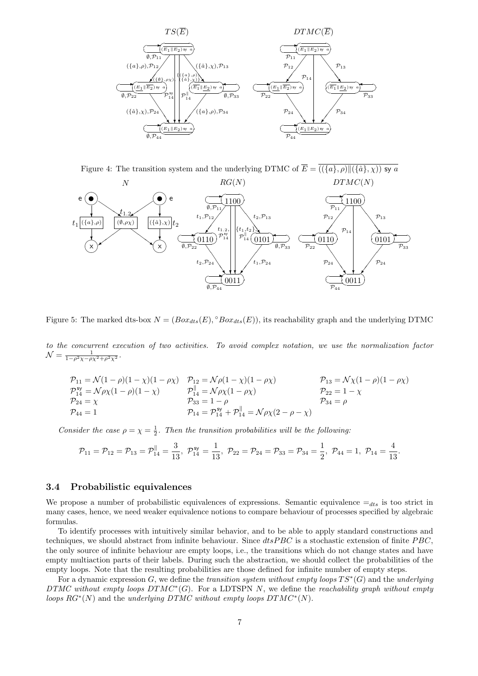

Figure 4: The transition system and the underlying DTMC of  $\overline{E} = \overline{((\{a\}, \rho) \| (\{\hat{a}\}, \chi))}$  sy a



Figure 5: The marked dts-box  $N = (Box_{dts}(E), \degree Box_{dts}(E))$ , its reachability graph and the underlying DTMC

to the concurrent execution of two activities. To avoid complex notation, we use the normalization factor  $\mathcal{N} = \frac{1}{1 - \rho^2 \chi - \rho \chi^2 + \rho^2 \chi^2}.$ 

$$
\begin{aligned}\n\mathcal{P}_{11} &= \mathcal{N}(1-\rho)(1-\chi)(1-\rho\chi) & \mathcal{P}_{12} &= \mathcal{N}\rho(1-\chi)(1-\rho\chi) & \mathcal{P}_{13} &= \mathcal{N}\chi(1-\rho)(1-\rho\chi) \\
\mathcal{P}_{14}^{\mathsf{sy}} &= \mathcal{N}\rho\chi(1-\rho)(1-\chi) & \mathcal{P}_{14}^{\parallel} &= \mathcal{N}\rho\chi(1-\rho\chi) & \mathcal{P}_{22} &= 1-\chi \\
\mathcal{P}_{24} &= \chi & \mathcal{P}_{33} &= 1-\rho & \mathcal{P}_{34} &= \rho \\
\mathcal{P}_{44} &= 1 & \mathcal{P}_{14} &= \mathcal{N}\rho\chi(2-\rho-\chi) &\n\end{aligned}
$$

Consider the case  $\rho = \chi = \frac{1}{2}$ . Then the transition probabilities will be the following:

$$
\mathcal{P}_{11}=\mathcal{P}_{12}=\mathcal{P}_{13}=\mathcal{P}_{14}^\parallel=\frac{3}{13},\,\, \mathcal{P}_{14}^\text{sy}=\frac{1}{13},\,\, \mathcal{P}_{22}=\mathcal{P}_{24}=\mathcal{P}_{33}=\mathcal{P}_{34}=\frac{1}{2},\,\, \mathcal{P}_{44}=1,\,\, \mathcal{P}_{14}=\frac{4}{13}.
$$

### 3.4 Probabilistic equivalences

We propose a number of probabilistic equivalences of expressions. Semantic equivalence  $=_{dts}$  is too strict in many cases, hence, we need weaker equivalence notions to compare behaviour of processes specified by algebraic formulas.

To identify processes with intuitively similar behavior, and to be able to apply standard constructions and techniques, we should abstract from infinite behaviour. Since  $dtsPBC$  is a stochastic extension of finite  $PBC$ , the only source of infinite behaviour are empty loops, i.e., the transitions which do not change states and have empty multiaction parts of their labels. During such the abstraction, we should collect the probabilities of the empty loops. Note that the resulting probabilities are those defined for infinite number of empty steps.

For a dynamic expression G, we define the transition system without empty loops  $TS^*(G)$  and the underlying DTMC without empty loops  $DTMC^*(G)$ . For a LDTSPN N, we define the reachability graph without empty loops  $RG^*(N)$  and the underlying DTMC without empty loops DTMC<sup>\*</sup>(N).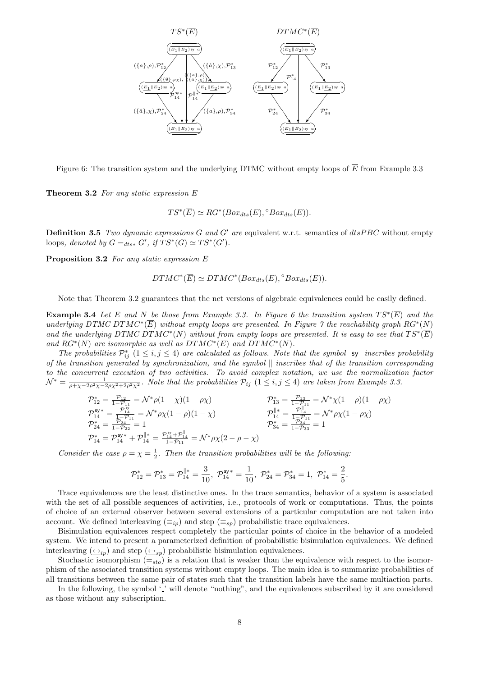

Figure 6: The transition system and the underlying DTMC without empty loops of  $\overline{E}$  from Example 3.3

**Theorem 3.2** For any static expression  $E$ 

 $TS^*(\overline{E}) \simeq RG^*(Box_{dts}(E), \degree Box_{dts}(E)).$ 

**Definition 3.5** Two dynamic expressions G and G' are equivalent w.r.t. semantics of  $dtsPBC$  without empty loops, denoted by  $G =_{dts*} G'$ , if  $TS^*(G) \simeq TS^*(G')$ .

Proposition 3.2 For any static expression E

$$
DTMC^*(\overline{E}) \simeq DTMC^*(Box_{dts}(E), ^{\circ}Box_{dts}(E)).
$$

Note that Theorem 3.2 guarantees that the net versions of algebraic equivalences could be easily defined.

**Example 3.4** Let E and N be those from Example 3.3. In Figure 6 the transition system  $TS^*(\overline{E})$  and the underlying DTMC DTMC<sup>\*</sup>(E) without empty loops are presented. In Figure 7 the reachability graph RG<sup>\*</sup>(N) and the underlying DTMC DTMC<sup>\*</sup>(N) without from empty loops are presented. It is easy to see that  $TS^*(\overline{E})$ and  $RG^*(N)$  are isomorphic as well as  $DTMC^*(\overline{E})$  and  $DTMC^*(N)$ .

The probabilities  $\mathcal{P}_{ij}^*$  ( $1 \le i, j \le 4$ ) are calculated as follows. Note that the symbol sy inscribes probability of the transition generated by synchronization, and the symbol  $\parallel$  inscribes that of the transition corresponding to the concurrent execution of two activities. To avoid complex notation, we use the normalization factor  $\mathcal{N}^* = \frac{1}{\rho + \chi - 2\rho^2\chi - 2\rho\chi^2 + 2\rho^2\chi^2}$ . Note that the probabilities  $\mathcal{P}_{ij}$  ( $1 \leq i, j \leq 4$ ) are taken from Example 3.3.

$$
\begin{array}{ll} \mathcal{P}_{12}^* = \frac{\mathcal{P}_{12}}{1-\mathcal{P}_{11}} = \mathcal{N}^* \rho (1-\chi)(1-\rho \chi) & \mathcal{P}_{13}^* = \frac{\mathcal{P}_{13}}{1-\mathcal{P}_{11}} = \mathcal{N}^* \chi (1-\rho)(1-\rho \chi) \\ \mathcal{P}_{14}^{\mathsf{sy}} = \frac{\mathcal{P}_{14}^{\mathsf{sy}}}{1-\mathcal{P}_{24}} = 1 & \mathcal{P}_{14}^* = \frac{\mathcal{P}_{14}^{\mathsf{sy}}}{1-\mathcal{P}_{14}} = 1 \\ \mathcal{P}_{14}^* = \mathcal{P}_{14}^{\mathsf{sy}} + \mathcal{P}_{14}^{\parallel *} = \frac{\mathcal{P}_{14}^{\mathsf{sy}} + \mathcal{P}_{14}^{\parallel}}{1-\mathcal{P}_{11}} = \mathcal{N}^* \rho \chi (2-\rho-\chi) \\ \end{array}
$$

Consider the case  $\rho = \chi = \frac{1}{2}$ . Then the transition probabilities will be the following:

$$
\mathcal{P}_{12}^* = \mathcal{P}_{13}^* = \mathcal{P}_{14}^{\parallel *} = \frac{3}{10}, \ \mathcal{P}_{14}^{\text{sys}} = \frac{1}{10}, \ \mathcal{P}_{24}^* = \mathcal{P}_{34}^* = 1, \ \mathcal{P}_{14}^* = \frac{2}{5}.
$$

Trace equivalences are the least distinctive ones. In the trace semantics, behavior of a system is associated with the set of all possible sequences of activities, i.e., protocols of work or computations. Thus, the points of choice of an external observer between several extensions of a particular computation are not taken into account. We defined interleaving  $(\equiv_{ip})$  and step  $(\equiv_{sp})$  probabilistic trace equivalences.

Bisimulation equivalences respect completely the particular points of choice in the behavior of a modeled system. We intend to present a parameterized definition of probabilistic bisimulation equivalences. We defined interleaving  $(\underline{\leftrightarrow}_{ip})$  and step  $(\underline{\leftrightarrow}_{sp})$  probabilistic bisimulation equivalences.

Stochastic isomorphism  $(=_{sto})$  is a relation that is weaker than the equivalence with respect to the isomorphism of the associated transition systems without empty loops. The main idea is to summarize probabilities of all transitions between the same pair of states such that the transition labels have the same multiaction parts.

In the following, the symbol  $\mathcal{L}'$  will denote "nothing", and the equivalences subscribed by it are considered as those without any subscription.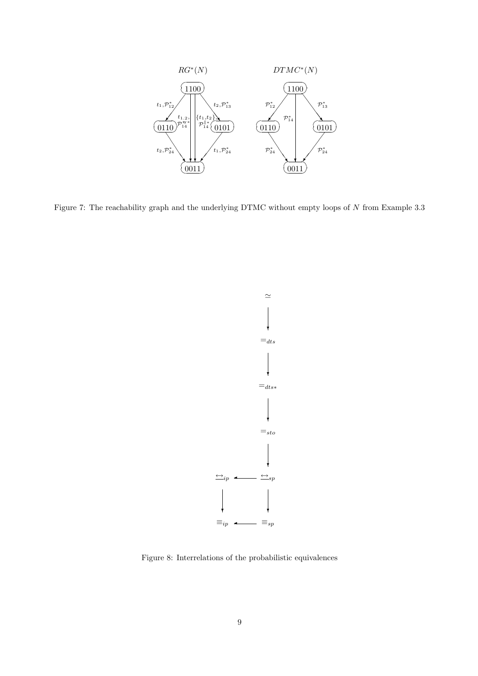

Figure 7: The reachability graph and the underlying DTMC without empty loops of N from Example 3.3



Figure 8: Interrelations of the probabilistic equivalences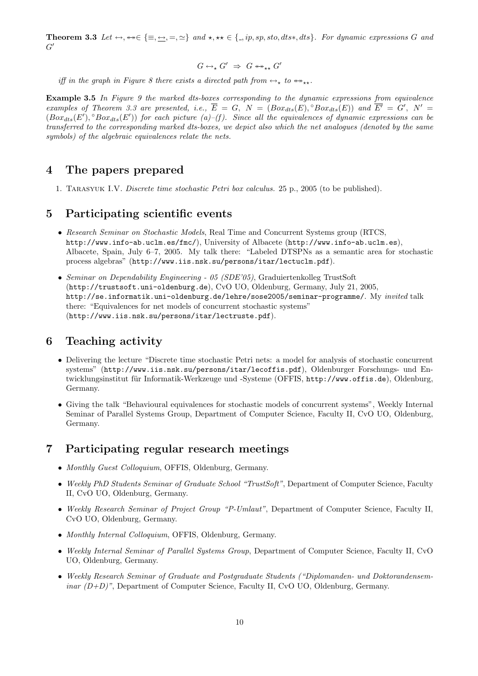**Theorem 3.3** Let  $\leftrightarrow$ ,  $\leftrightarrow\in\{\equiv,\leftrightarrow,\equiv,\simeq\}$  and  $\star,\star\in\{\equiv,p,sp,sto,dts*,dts\}$ . For dynamic expressions G and  $G^{\prime}$ 

$$
G \leftrightarrow_{\star} G' \;\Rightarrow\; G \leftrightarrow_{\star \star} G'
$$

iff in the graph in Figure 8 there exists a directed path from  $\leftrightarrow_{\star}$  to  $\leftrightarrow_{\star\star}$ .

**Example 3.5** In Figure 9 the marked dts-boxes corresponding to the dynamic expressions from equivalence examples of Theorem 3.3 are presented, i.e.,  $\overline{E} = G$ ,  $N = (Box_{dts}(E), \degree Box_{dts}(E))$  and  $\overline{E'} = G'$ ,  $N' =$  $(Box_{dts}(E'), \degree Box_{dts}(E'))$  for each picture (a)–(f). Since all the equivalences of dynamic expressions can be transferred to the corresponding marked dts-boxes, we depict also which the net analogues (denoted by the same symbols) of the algebraic equivalences relate the nets.

## 4 The papers prepared

1. Tarasyuk I.V. Discrete time stochastic Petri box calculus. 25 p., 2005 (to be published).

### 5 Participating scientific events

- Research Seminar on Stochastic Models, Real Time and Concurrent Systems group (RTCS, http://www.info-ab.uclm.es/fmc/), University of Albacete (http://www.info-ab.uclm.es), Albacete, Spain, July 6–7, 2005. My talk there: "Labeled DTSPNs as a semantic area for stochastic process algebras" (http://www.iis.nsk.su/persons/itar/lectuclm.pdf).
- Seminar on Dependability Engineering 05 (SDE'05), Graduiertenkolleg TrustSoft (http://trustsoft.uni-oldenburg.de), CvO UO, Oldenburg, Germany, July 21, 2005, http://se.informatik.uni-oldenburg.de/lehre/sose2005/seminar-programme/. My invited talk there: "Equivalences for net models of concurrent stochastic systems" (http://www.iis.nsk.su/persons/itar/lectruste.pdf).

## 6 Teaching activity

- Delivering the lecture "Discrete time stochastic Petri nets: a model for analysis of stochastic concurrent systems" (http://www.iis.nsk.su/persons/itar/lecoffis.pdf), Oldenburger Forschungs- und Entwicklungsinstitut für Informatik-Werkzeuge und -Systeme (OFFIS, http://www.offis.de), Oldenburg, Germany.
- Giving the talk "Behavioural equivalences for stochastic models of concurrent systems", Weekly Internal Seminar of Parallel Systems Group, Department of Computer Science, Faculty II, CvO UO, Oldenburg, Germany.

### 7 Participating regular research meetings

- Monthly Guest Colloquium, OFFIS, Oldenburg, Germany.
- Weekly PhD Students Seminar of Graduate School "TrustSoft", Department of Computer Science, Faculty II, CvO UO, Oldenburg, Germany.
- Weekly Research Seminar of Project Group "P-Umlaut", Department of Computer Science, Faculty II, CvO UO, Oldenburg, Germany.
- Monthly Internal Colloquium, OFFIS, Oldenburg, Germany.
- Weekly Internal Seminar of Parallel Systems Group, Department of Computer Science, Faculty II, CvO UO, Oldenburg, Germany.
- Weekly Research Seminar of Graduate and Postgraduate Students ("Diplomanden- und Doktorandensem $inar (D+D)$ ", Department of Computer Science, Faculty II, CvO UO, Oldenburg, Germany.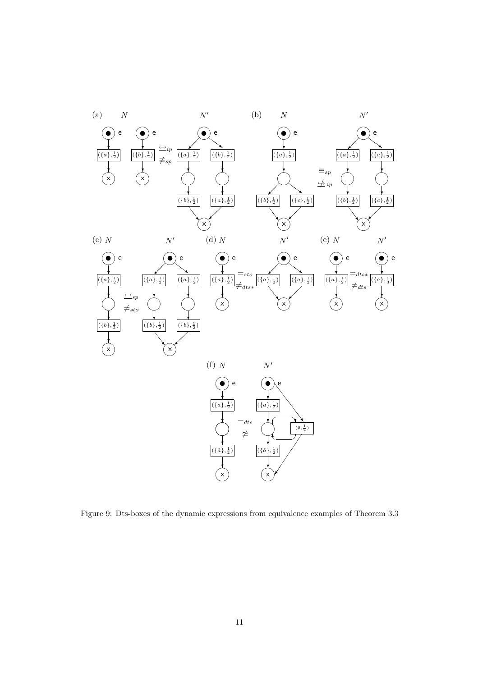

Figure 9: Dts-boxes of the dynamic expressions from equivalence examples of Theorem 3.3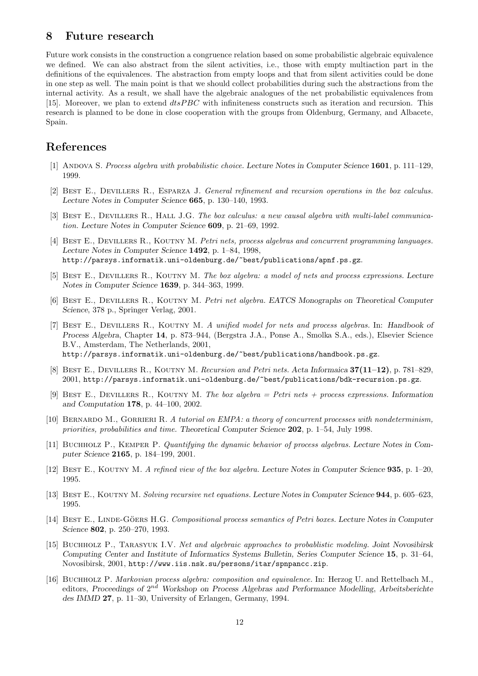## 8 Future research

Future work consists in the construction a congruence relation based on some probabilistic algebraic equivalence we defined. We can also abstract from the silent activities, i.e., those with empty multiaction part in the definitions of the equivalences. The abstraction from empty loops and that from silent activities could be done in one step as well. The main point is that we should collect probabilities during such the abstractions from the internal activity. As a result, we shall have the algebraic analogues of the net probabilistic equivalences from [15]. Moreover, we plan to extend  $dtsPBC$  with infiniteness constructs such as iteration and recursion. This research is planned to be done in close cooperation with the groups from Oldenburg, Germany, and Albacete, Spain.

## References

- [1] ANDOVA S. Process algebra with probabilistic choice. Lecture Notes in Computer Science 1601, p. 111–129, 1999.
- [2] BEST E., DEVILLERS R., ESPARZA J. General refinement and recursion operations in the box calculus. Lecture Notes in Computer Science 665, p. 130–140, 1993.
- [3] BEST E., DEVILLERS R., HALL J.G. The box calculus: a new causal algebra with multi-label communication. Lecture Notes in Computer Science 609, p. 21–69, 1992.
- [4] BEST E., DEVILLERS R., KOUTNY M. Petri nets, process algebras and concurrent programming languages. Lecture Notes in Computer Science 1492, p. 1–84, 1998, http://parsys.informatik.uni-oldenburg.de/~best/publications/apnf.ps.gz.
- [5] BEST E., DEVILLERS R., KOUTNY M. The box algebra: a model of nets and process expressions. Lecture Notes in Computer Science 1639, p. 344–363, 1999.
- [6] BEST E., DEVILLERS R., KOUTNY M. Petri net algebra. EATCS Monographs on Theoretical Computer Science, 378 p., Springer Verlag, 2001.
- [7] BEST E., DEVILLERS R., KOUTNY M. A unified model for nets and process algebras. In: Handbook of Process Algebra, Chapter 14, p. 873–944, (Bergstra J.A., Ponse A., Smolka S.A., eds.), Elsevier Science B.V., Amsterdam, The Netherlands, 2001, http://parsys.informatik.uni-oldenburg.de/~best/publications/handbook.ps.gz.
- [8] BEST E., DEVILLERS R., KOUTNY M. Recursion and Petri nets. Acta Informaica  $37(11-12)$ , p. 781–829, 2001, http://parsys.informatik.uni-oldenburg.de/~best/publications/bdk-recursion.ps.gz.
- [9] BEST E., DEVILLERS R., KOUTNY M. The box algebra = Petri nets + process expressions. Information and Computation 178, p. 44–100, 2002.
- [10] BERNARDO M., GORRIERI R. A tutorial on EMPA: a theory of concurrent processes with nondeterminism, priorities, probabilities and time. Theoretical Computer Science 202, p. 1–54, July 1998.
- [11] Buchholz P., Kemper P. Quantifying the dynamic behavior of process algebras. Lecture Notes in Computer Science 2165, p. 184–199, 2001.
- [12] Best E., Koutny M. A refined view of the box algebra. Lecture Notes in Computer Science 935, p. 1–20, 1995.
- [13] Best E., Koutny M. Solving recursive net equations. Lecture Notes in Computer Science 944, p. 605–623, 1995.
- [14] BEST E., LINDE-GÖERS H.G. Compositional process semantics of Petri boxes. Lecture Notes in Computer Science 802, p. 250–270, 1993.
- [15] Buchholz P., Tarasyuk I.V. Net and algebraic approaches to probablistic modeling. Joint Novosibirsk Computing Center and Institute of Informatics Systems Bulletin, Series Computer Science 15, p. 31–64, Novosibirsk, 2001, http://www.iis.nsk.su/persons/itar/spnpancc.zip.
- [16] Buchholz P. Markovian process algebra: composition and equivalence. In: Herzog U. and Rettelbach M., editors, Proceedings of 2<sup>nd</sup> Workshop on Process Algebras and Performance Modelling, Arbeitsberichte des IMMD 27, p. 11–30, University of Erlangen, Germany, 1994.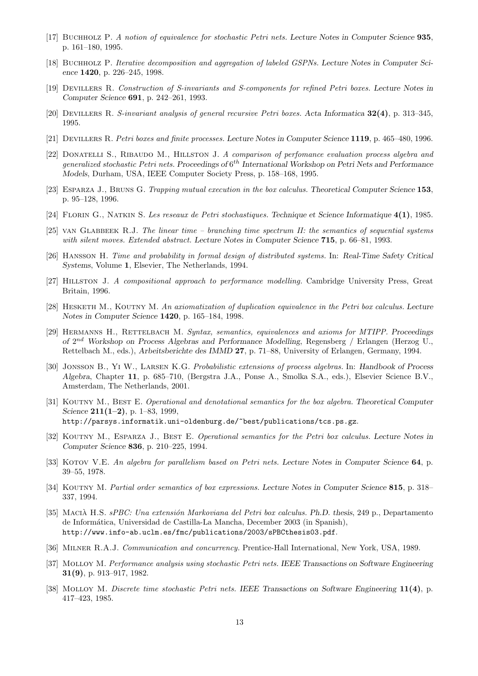- [17] Buchholz P. A notion of equivalence for stochastic Petri nets. Lecture Notes in Computer Science 935, p. 161–180, 1995.
- [18] Buchholz P. Iterative decomposition and aggregation of labeled GSPNs. Lecture Notes in Computer Science 1420, p. 226–245, 1998.
- [19] Devillers R. Construction of S-invariants and S-components for refined Petri boxes. Lecture Notes in Computer Science 691, p. 242–261, 1993.
- [20] Devillers R. S-invariant analysis of general recursive Petri boxes. Acta Informatica 32(4), p. 313–345, 1995.
- [21] Devillers R. Petri boxes and finite processes. Lecture Notes in Computer Science 1119, p. 465–480, 1996.
- [22] DONATELLI S., RIBAUDO M., HILLSTON J. A comparison of perfomance evaluation process algebra and generalized stochastic Petri nets. Proceedings of  $6^{th}$  International Workshop on Petri Nets and Performance Models, Durham, USA, IEEE Computer Society Press, p. 158–168, 1995.
- [23] ESPARZA J., BRUNS G. Trapping mutual execution in the box calculus. Theoretical Computer Science 153, p. 95–128, 1996.
- [24] Florin G., Natkin S. Les reseaux de Petri stochastiques. Technique et Science Informatique 4(1), 1985.
- [25] van Glabbeek R.J. The linear time branching time spectrum II: the semantics of sequential systems with silent moves. Extended abstract. Lecture Notes in Computer Science 715, p. 66–81, 1993.
- [26] Hansson H. Time and probability in formal design of distributed systems. In: Real-Time Safety Critical Systems, Volume 1, Elsevier, The Netherlands, 1994.
- [27] Hillston J. A compositional approach to performance modelling. Cambridge University Press, Great Britain, 1996.
- [28] HESKETH M., KOUTNY M. An axiomatization of duplication equivalence in the Petri box calculus. Lecture Notes in Computer Science 1420, p. 165–184, 1998.
- [29] HERMANNS H., RETTELBACH M. Syntax, semantics, equivalences and axioms for MTIPP. Proceedings of  $2^{nd}$  Workshop on Process Algebras and Performance Modelling, Regensberg / Erlangen (Herzog U., Rettelbach M., eds.), Arbeitsberichte des IMMD 27, p. 71–88, University of Erlangen, Germany, 1994.
- [30] Jonsson B., Yi W., Larsen K.G. Probabilistic extensions of process algebras. In: Handbook of Process Algebra, Chapter 11, p. 685–710, (Bergstra J.A., Ponse A., Smolka S.A., eds.), Elsevier Science B.V., Amsterdam, The Netherlands, 2001.
- [31] KOUTNY M., BEST E. Operational and denotational semantics for the box algebra. Theoretical Computer Science  $211(1-2)$ , p. 1–83, 1999, http://parsys.informatik.uni-oldenburg.de/~best/publications/tcs.ps.gz.
- [32] KOUTNY M., ESPARZA J., BEST E. Operational semantics for the Petri box calculus. Lecture Notes in Computer Science 836, p. 210–225, 1994.
- [33] KOTOV V.E. An algebra for parallelism based on Petri nets. Lecture Notes in Computer Science 64, p. 39–55, 1978.
- [34] KOUTNY M. Partial order semantics of box expressions. Lecture Notes in Computer Science 815, p. 318– 337, 1994.
- [35] MACIÀ H.S. sPBC: Una extensión Markoviana del Petri box calculus. Ph.D. thesis, 249 p., Departamento de Inform´atica, Universidad de Castilla-La Mancha, December 2003 (in Spanish), http://www.info-ab.uclm.es/fmc/publications/2003/sPBCthesis03.pdf.
- [36] MILNER R.A.J. Communication and concurrency. Prentice-Hall International, New York, USA, 1989.
- [37] Molloy M. Performance analysis using stochastic Petri nets. IEEE Transactions on Software Engineering 31(9), p. 913–917, 1982.
- [38] Molloy M. Discrete time stochastic Petri nets. IEEE Transactions on Software Engineering 11(4), p. 417–423, 1985.